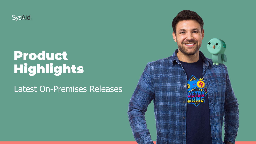**SysAid.** 

### Product Highlights

Latest On-Premises Releases

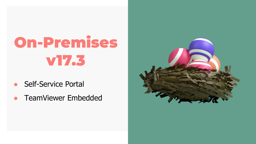- **Self-Service Portal**
- TeamViewer Embedded

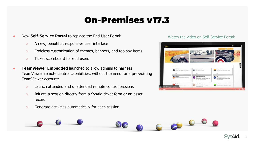- New **Self-Service Portal** to replace the End-User Portal:
	- A new, beautiful, responsive user interface
	- Codeless customization of themes, banners, and toolbox items
	- Ticket scoreboard for end users
- **TeamViewer Embedded** launched to allow admins to harness TeamViewer remote control capabilities, without the need for a pre-existing TeamViewer account:
	- Launch attended and unattended remote control sessions
	- Initiate a session directly from a SysAid ticket form or an asset record
	- Generate activities automatically for each session

#### Watch the video on Self-Service Portal:



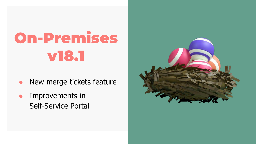- New merge tickets feature
- **•** Improvements in Self-Service Portal

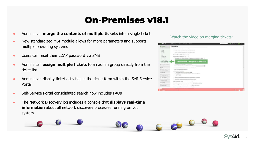- Admins can **merge the contents of multiple tickets** into a single ticket
- New standardized MSI module allows for more parameters and supports multiple operating systems
- Users can reset their LDAP password via SMS
- Admins can **assign multiple tickets** to an admin group directly from the ticket list
- Admins can display ticket activities in the ticket form within the Self-Service Portal
- Self-Service Portal consolidated search now includes FAQs
- The Network Discovery log includes a console that **displays real-time information** about all network discovery processes running on your system

#### Watch the video on merging tickets:



6 60 0 6

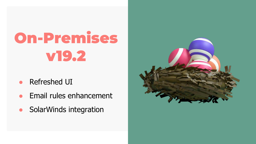- **Refreshed UI**
- Email rules enhancement
- SolarWinds integration

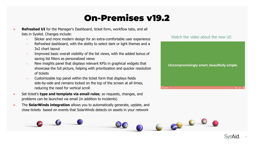- **Refreshed UI** for the Manager's Dashboard, ticket form, workflow tabs, and all lists in SysAid. Changes include:
	- Slicker and more modern design for an extra-comfortable user experience
	- Refreshed dashboard, with the ability to select dark or light themes and a 3x2 chart layout
	- Improved basic overall visibility of the list views, with the added bonus of saving list filters as personalized views
	- New insights panel that displays relevant KPIs in graphical widgets that showcase the full picture, helping with prioritization and quicker resolution of tickets
	- Customizable top panel within the ticket form that displays fields side-by-side and remains locked on the top of the screen at all times, reducing the need for vertical scroll
- Set ticket's **type and template via email rules**; so requests, changes, and problems can be launched via email (in addition to incidents)
- The **SolarWinds integration** allows you to automatically generate, update, and close tickets based on events that SolarWinds detects on assets in your network





6 60 0 0

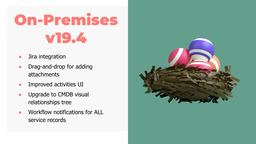- Jira integration
- Drag-and-drop for adding attachments
- Improved activities UI
- Upgrade to CMDB visual relationships tree
- Workflow notifications for ALL service records

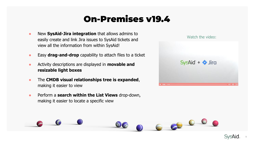- **New SysAid-Jira integration** that allows admins to easily create and link Jira issues to SysAid tickets and view all the information from within SysAid!
- **Easy drag-and-drop** capability to attach files to a ticket
- Activity descriptions are displayed in **movable and resizable light boxes**
- The **CMDB visual relationships tree is expanded**, making it easier to view
- Perform a **search within the List Views** drop-down, making it easier to locate a specific view



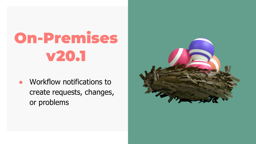Workflow notifications to create requests, changes, or problems

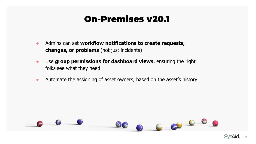- Admins can set **workflow notifications to create requests, changes, or problems** (not just incidents)
- Use **group permissions for dashboard views**, ensuring the right folks see what they need
- Automate the assigning of asset owners, based on the asset's history



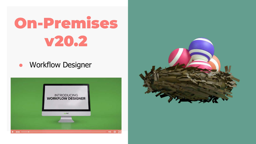**•** Workflow Designer



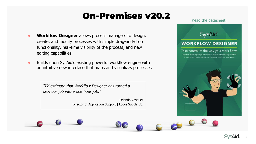- **Workflow Designer** allows process managers to design, create, and modify processes with simple drag-and-drop functionality, real-time visibility of the process, and new editing capabilities
- Builds upon SysAid's existing powerful workflow engine with an intuitive new interface that maps and visualizes processes

"I'd estimate that Workflow Designer has turned a six-hour job into a one hour job."

> Orlando Vasquez Director of Application Support | Locke Supply Co.

Read the datasheet:

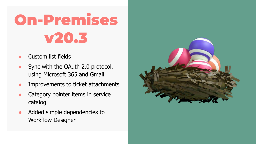- Custom list fields
- Sync with the OAuth 2.0 protocol, using Microsoft 365 and Gmail
- Improvements to ticket attachments
- Category pointer items in service catalog
- Added simple dependencies to Workflow Designer

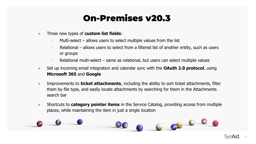- Three new types of **custom list fields**:
	- $\circ$  Multi-select allows users to select multiple values from the list
	- $\circ$  Relational allows users to select from a filtered list of another entity, such as users or groups
	- Relational multi-select same as relational, but users can select multiple values
- Set up incoming email integration and calendar sync with the **OAuth 2.0 protocol**, using **Microsoft 365** and **Google**
- Improvements to **ticket attachments**, including the ability to sort ticket attachments, filter them by file type, and easily locate attachments by searching for them in the Attachments search bar
- Shortcuts to **category pointer items** in the Service Catalog, providing access from multiple places, while maintaining the item in just a single location



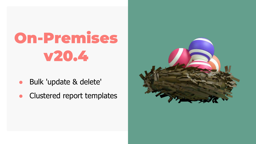- Bulk 'update & delete'
- Clustered report templates

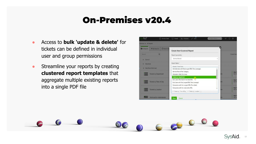- Access to **bulk 'update & delete'** for tickets can be defined in individual user and group permissions
- Streamline your reports by creating **clustered report templates** that aggregate multiple existing reports into a single PDF file



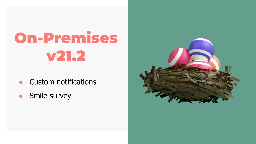- **Custom notifications**
- Smile survey

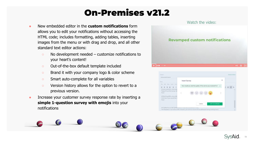- New embedded editor in the **custom notifications** form allows you to edit your notifications without accessing the HTML code; includes formatting, adding tables, inserting images from the menu or with drag and drop, and all other standard text editor actions:
	- $\circ$  No development needed customize notifications to your heart's content!
	- Out-of-the-box default template included
	- Brand it with your company logo & color scheme
	- Smart auto-complete for all variables
	- Version history allows for the option to revert to a previous version.
- Increase your customer survey response rate by inserting a **simple 1-question survey with emojis** into your notifications





 $\begin{array}{c} 6 \end{array}$ 

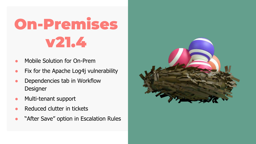- Mobile Solution for On-Prem
- Fix for the Apache Log4j vulnerability
- Dependencies tab in Workflow **Designer**
- Multi-tenant support
- Reduced clutter in tickets
- **"After Save" option in Escalation Rules**

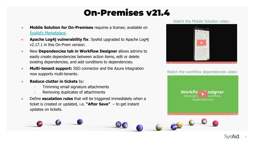- **Mobile Solution for On-Premises** requires a license; available on [SysAid's Marketplace.](https://www.sysaid.com/it-service-management-software/marketplace/mobile-for-on-premises)
- **Apache Log4j vulnerability fix:** SysAid upgraded to Apache Log4j v2.17.1 in this On-Prem version.
- New **Dependencies tab in Workflow Designer** allows admins to easily create dependencies between action items, edit or delete existing dependencies, and add conditions to dependencies.
- **Multi-tenant support:** SSO connector and the Azure integration now supports multi-tenants.
- **Reduce clutter in tickets** by:
	- Trimming email signature attachments
	- Removing duplicates of attachments
- **•** Define **escalation rules** that will be triggered immediately when a ticket is created or updated, i.e. **"After Save"** – to get instant updates on tickets.

#### Watch the Mobile Solution video:



Watch the workflow dependencies video:



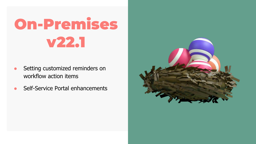- Setting customized reminders on workflow action items
- Self-Service Portal enhancements

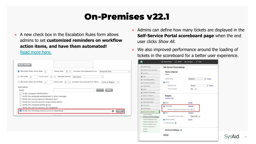● A new check box in the Escalation Rules form allows admins to set **customized reminders on workflow action items, and have them automated!** 

[Read more here.](https://community.sysaid.com/help-page.htm?helpPageId=17548)

| Escalate when more than<br>3                       | hours and<br>$\theta$<br>ت            | minutes have passed since    | Request time                   |  |
|----------------------------------------------------|---------------------------------------|------------------------------|--------------------------------|--|
| Escalate<br>hours and<br>$\Omega$<br>$\theta$      | minutes before<br>$\checkmark$        | Due time                     | $\checkmark$                   |  |
| Escalate when more than<br>$\Omega$                | hours and<br>$\alpha$<br>$\checkmark$ | minutes have passed on Timer | Time to Repair<br>$\checkmark$ |  |
| Notification                                       |                                       |                              |                                |  |
| Notify                                             |                                       |                              | Clear                          |  |
| Notify assigned administrator                      |                                       |                              |                                |  |
| Notify the assigned administrator's direct manager |                                       |                              |                                |  |
| Notify the service record's Request User           |                                       |                              |                                |  |
| Notify the service record's responsible admin      |                                       |                              |                                |  |
|                                                    |                                       |                              |                                |  |
| Notify the assigned admin group                    |                                       |                              |                                |  |

- Admins can define how many tickets are displayed in the **Self-Service Portal scoreboard page** when the end user clicks Show All.
- We also improved performance around the loading of tickets in the scoreboard for a better user experience.

| C SERVICE DESK                     | <b>Self-Service Portal Settings</b>        |                |              |  |
|------------------------------------|--------------------------------------------|----------------|--------------|--|
| <b>SERVICE DESK TEMPLATES</b><br>同 |                                            |                |              |  |
| <b>BESIARE</b>                     | Theme & Banner<br>Preview                  |                |              |  |
| <b>ED</b> : CHAT                   |                                            |                |              |  |
| <b>IP ASSET MANAGEMENT</b>         | Default thome                              | Newtherne      | Manage<br>v. |  |
| (?) NETWORK DISCOVERY              | <b>Bannec</b>                              |                |              |  |
| <b>BONTORING</b>                   | Default banner                             | Support        | v Manage     |  |
| E CMOB                             | Banner position                            | Top<br>v       |              |  |
| @ ADVANCED REPORTING               |                                            |                |              |  |
| GY TASKS & PROJECTS                | <b>Widgets</b>                             |                |              |  |
| <b>B</b> PASSWORD SERVICES         | <b>Customize Order</b>                     |                |              |  |
| <b>J. USER MANAGEMENT</b>          | <b>P</b> News                              | Manage         |              |  |
| O CUSTOMIZE                        | Scoreboard                                 | Castomico      |              |  |
| <b>E INTEGRATION</b>               | Records displayed in Scoreboard lists 50 v |                |              |  |
| <b>G SELF SERVICE PORTAL</b>       | $P$ FAQ                                    | Customize      |              |  |
| <b>General Settings</b>            |                                            |                |              |  |
| Self-Service Portal Settings       | Scoreboard & FAQ position                  | Side by side v |              |  |
| Incident Submission Form           | Service Catalog                            | Manage         |              |  |
| Request Submission Form            | Custom IFrame C                            |                |              |  |
| End User Settings Form             |                                            |                |              |  |
| Service Catalog Nems               |                                            |                |              |  |
| Banners                            | <b>Advanced Settings O</b>                 |                |              |  |
| <b>Themes</b>                      |                                            |                |              |  |

23

**SVSA**